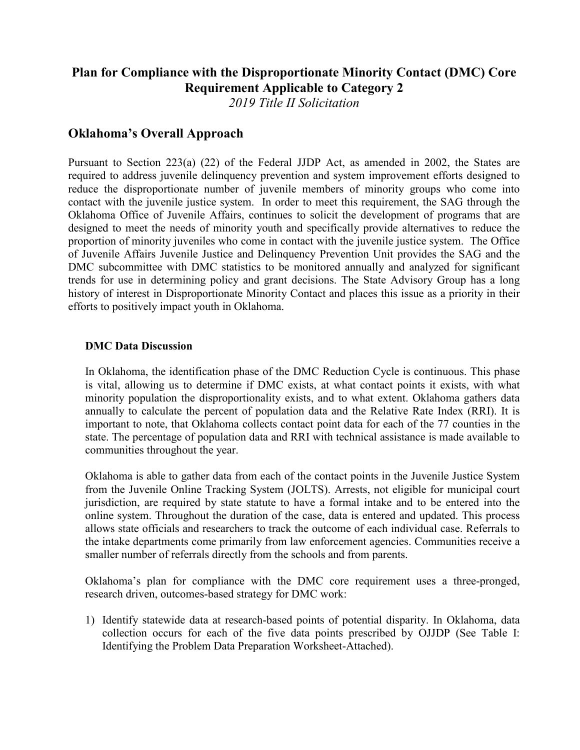# **Plan for Compliance with the Disproportionate Minority Contact (DMC) Core Requirement Applicable to Category 2**

*2019 Title II Solicitation*

# **Oklahoma's Overall Approach**

Pursuant to Section 223(a) (22) of the Federal JJDP Act, as amended in 2002, the States are required to address juvenile delinquency prevention and system improvement efforts designed to reduce the disproportionate number of juvenile members of minority groups who come into contact with the juvenile justice system. In order to meet this requirement, the SAG through the Oklahoma Office of Juvenile Affairs, continues to solicit the development of programs that are designed to meet the needs of minority youth and specifically provide alternatives to reduce the proportion of minority juveniles who come in contact with the juvenile justice system. The Office of Juvenile Affairs Juvenile Justice and Delinquency Prevention Unit provides the SAG and the DMC subcommittee with DMC statistics to be monitored annually and analyzed for significant trends for use in determining policy and grant decisions. The State Advisory Group has a long history of interest in Disproportionate Minority Contact and places this issue as a priority in their efforts to positively impact youth in Oklahoma.

#### **DMC Data Discussion**

In Oklahoma, the identification phase of the DMC Reduction Cycle is continuous. This phase is vital, allowing us to determine if DMC exists, at what contact points it exists, with what minority population the disproportionality exists, and to what extent. Oklahoma gathers data annually to calculate the percent of population data and the Relative Rate Index (RRI). It is important to note, that Oklahoma collects contact point data for each of the 77 counties in the state. The percentage of population data and RRI with technical assistance is made available to communities throughout the year.

Oklahoma is able to gather data from each of the contact points in the Juvenile Justice System from the Juvenile Online Tracking System (JOLTS). Arrests, not eligible for municipal court jurisdiction, are required by state statute to have a formal intake and to be entered into the online system. Throughout the duration of the case, data is entered and updated. This process allows state officials and researchers to track the outcome of each individual case. Referrals to the intake departments come primarily from law enforcement agencies. Communities receive a smaller number of referrals directly from the schools and from parents.

Oklahoma's plan for compliance with the DMC core requirement uses a three-pronged, research driven, outcomes-based strategy for DMC work:

1) Identify statewide data at research-based points of potential disparity. In Oklahoma, data collection occurs for each of the five data points prescribed by OJJDP (See Table I: Identifying the Problem Data Preparation Worksheet-Attached).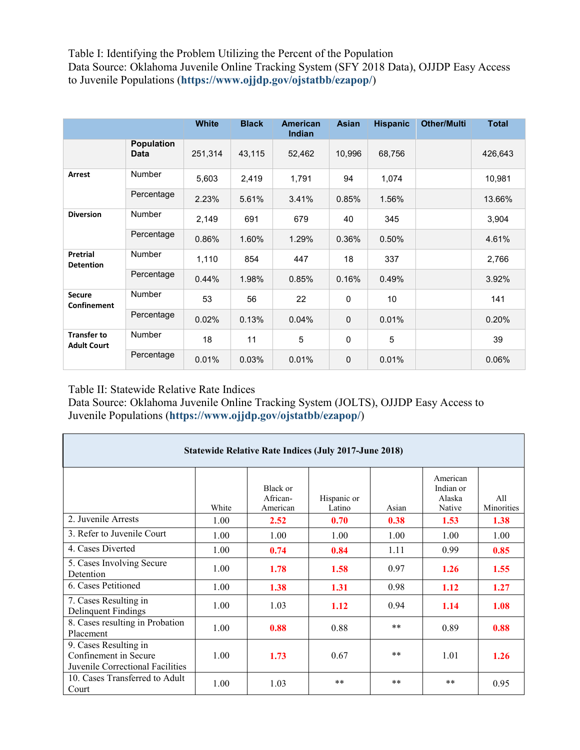Table I: Identifying the Problem Utilizing the Percent of the Population Data Source: Oklahoma Juvenile Online Tracking System (SFY 2018 Data), OJJDP Easy Access to Juvenile Populations (**<https://www.ojjdp.gov/ojstatbb/ezapop/>**)

|                                          |                           | <b>White</b> | <b>Black</b> | <b>American</b><br>Indian | <b>Asian</b> | <b>Hispanic</b> | <b>Other/Multi</b> | <b>Total</b> |
|------------------------------------------|---------------------------|--------------|--------------|---------------------------|--------------|-----------------|--------------------|--------------|
|                                          | <b>Population</b><br>Data | 251,314      | 43,115       | 52,462                    | 10,996       | 68,756          |                    | 426,643      |
| Arrest                                   | <b>Number</b>             | 5,603        | 2,419        | 1,791                     | 94           | 1,074           |                    | 10,981       |
|                                          | Percentage                | 2.23%        | 5.61%        | 3.41%                     | 0.85%        | 1.56%           |                    | 13.66%       |
| <b>Diversion</b>                         | <b>Number</b>             | 2,149        | 691          | 679                       | 40           | 345             |                    | 3,904        |
|                                          | Percentage                | 0.86%        | 1.60%        | 1.29%                     | 0.36%        | 0.50%           |                    | 4.61%        |
| Pretrial<br><b>Detention</b>             | <b>Number</b>             | 1,110        | 854          | 447                       | 18           | 337             |                    | 2,766        |
|                                          | Percentage                | 0.44%        | 1.98%        | 0.85%                     | 0.16%        | 0.49%           |                    | 3.92%        |
| <b>Secure</b><br>Confinement             | <b>Number</b>             | 53           | 56           | 22                        | $\mathbf 0$  | 10              |                    | 141          |
|                                          | Percentage                | 0.02%        | 0.13%        | 0.04%                     | $\mathbf 0$  | 0.01%           |                    | 0.20%        |
| <b>Transfer to</b><br><b>Adult Court</b> | <b>Number</b>             | 18           | 11           | 5                         | 0            | 5               |                    | 39           |
|                                          | Percentage                | 0.01%        | 0.03%        | 0.01%                     | $\mathbf 0$  | 0.01%           |                    | 0.06%        |

Table II: Statewide Relative Rate Indices

Data Source: Oklahoma Juvenile Online Tracking System (JOLTS), OJJDP Easy Access to Juvenile Populations (**<https://www.ojjdp.gov/ojstatbb/ezapop/>**)

| <b>Statewide Relative Rate Indices (July 2017-June 2018)</b>                       |       |                                  |                       |       |                                           |                   |  |  |  |  |  |
|------------------------------------------------------------------------------------|-------|----------------------------------|-----------------------|-------|-------------------------------------------|-------------------|--|--|--|--|--|
|                                                                                    | White | Black or<br>African-<br>American | Hispanic or<br>Latino | Asian | American<br>Indian or<br>Alaska<br>Native | All<br>Minorities |  |  |  |  |  |
| 2. Juvenile Arrests                                                                | 1.00  | 2.52                             | 0.70                  | 0.38  | 1.53                                      | 1.38              |  |  |  |  |  |
| 3. Refer to Juvenile Court                                                         | 1.00  | 1.00                             | 1.00                  | 1.00  | 1.00                                      | 1.00              |  |  |  |  |  |
| 4. Cases Diverted                                                                  | 1.00  | 0.74                             | 0.84                  | 1.11  | 0.99                                      | 0.85              |  |  |  |  |  |
| 5. Cases Involving Secure<br>Detention                                             | 1.00  | 1.78                             | 1.58                  | 0.97  | 1.26                                      | 1.55              |  |  |  |  |  |
| 6. Cases Petitioned                                                                | 1.00  | 1.38                             | 1.31                  | 0.98  | 1.12                                      | 1.27              |  |  |  |  |  |
| 7. Cases Resulting in<br>Delinquent Findings                                       | 1.00  | 1.03                             | 1.12                  | 0.94  | 1.14                                      | 1.08              |  |  |  |  |  |
| 8. Cases resulting in Probation<br>Placement                                       | 1.00  | 0.88                             | 0.88                  | $***$ | 0.89                                      | 0.88              |  |  |  |  |  |
| 9. Cases Resulting in<br>Confinement in Secure<br>Juvenile Correctional Facilities | 1.00  | 1.73                             | 0.67                  | $***$ | 1.01                                      | 1.26              |  |  |  |  |  |
| 10. Cases Transferred to Adult<br>Court                                            | 1.00  | 1.03                             | $**$                  | $***$ | $***$                                     | 0.95              |  |  |  |  |  |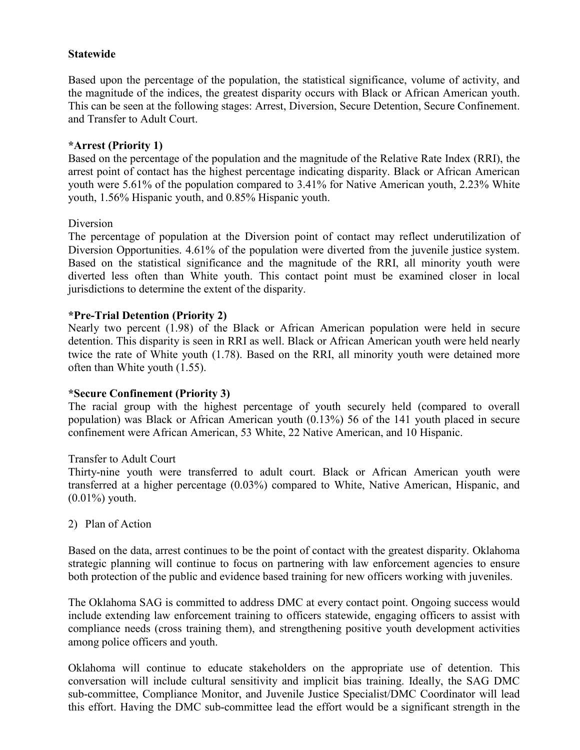# **Statewide**

Based upon the percentage of the population, the statistical significance, volume of activity, and the magnitude of the indices, the greatest disparity occurs with Black or African American youth. This can be seen at the following stages: Arrest, Diversion, Secure Detention, Secure Confinement. and Transfer to Adult Court.

# **\*Arrest (Priority 1)**

Based on the percentage of the population and the magnitude of the Relative Rate Index (RRI), the arrest point of contact has the highest percentage indicating disparity. Black or African American youth were 5.61% of the population compared to 3.41% for Native American youth, 2.23% White youth, 1.56% Hispanic youth, and 0.85% Hispanic youth.

#### Diversion

The percentage of population at the Diversion point of contact may reflect underutilization of Diversion Opportunities. 4.61% of the population were diverted from the juvenile justice system. Based on the statistical significance and the magnitude of the RRI, all minority youth were diverted less often than White youth. This contact point must be examined closer in local jurisdictions to determine the extent of the disparity.

# **\*Pre-Trial Detention (Priority 2)**

Nearly two percent (1.98) of the Black or African American population were held in secure detention. This disparity is seen in RRI as well. Black or African American youth were held nearly twice the rate of White youth (1.78). Based on the RRI, all minority youth were detained more often than White youth (1.55).

# **\*Secure Confinement (Priority 3)**

The racial group with the highest percentage of youth securely held (compared to overall population) was Black or African American youth (0.13%) 56 of the 141 youth placed in secure confinement were African American, 53 White, 22 Native American, and 10 Hispanic.

### Transfer to Adult Court

Thirty-nine youth were transferred to adult court. Black or African American youth were transferred at a higher percentage (0.03%) compared to White, Native American, Hispanic, and (0.01%) youth.

#### 2) Plan of Action

Based on the data, arrest continues to be the point of contact with the greatest disparity. Oklahoma strategic planning will continue to focus on partnering with law enforcement agencies to ensure both protection of the public and evidence based training for new officers working with juveniles.

The Oklahoma SAG is committed to address DMC at every contact point. Ongoing success would include extending law enforcement training to officers statewide, engaging officers to assist with compliance needs (cross training them), and strengthening positive youth development activities among police officers and youth.

Oklahoma will continue to educate stakeholders on the appropriate use of detention. This conversation will include cultural sensitivity and implicit bias training. Ideally, the SAG DMC sub-committee, Compliance Monitor, and Juvenile Justice Specialist/DMC Coordinator will lead this effort. Having the DMC sub-committee lead the effort would be a significant strength in the